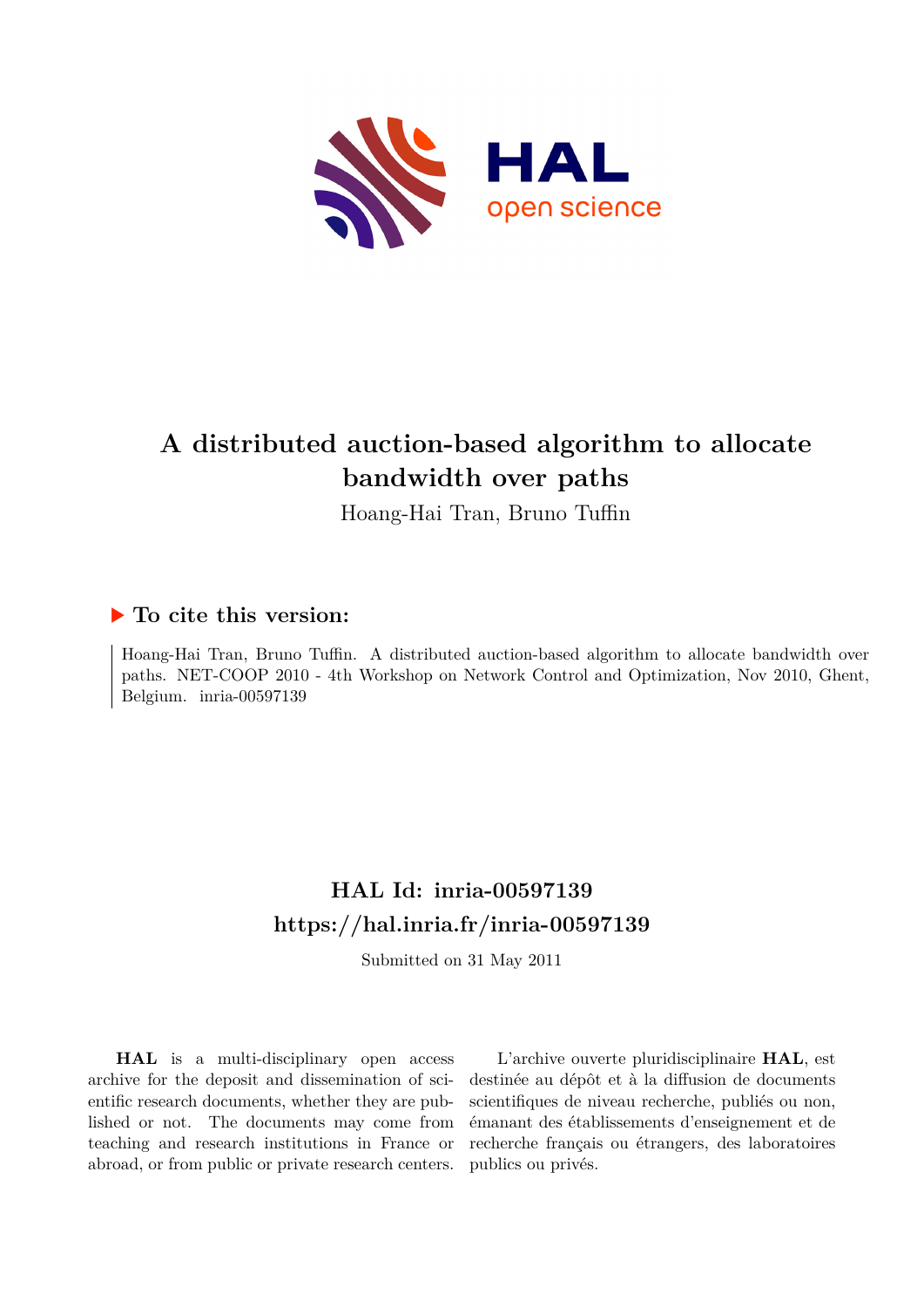

## **A distributed auction-based algorithm to allocate bandwidth over paths**

Hoang-Hai Tran, Bruno Tuffin

### **To cite this version:**

Hoang-Hai Tran, Bruno Tuffin. A distributed auction-based algorithm to allocate bandwidth over paths. NET-COOP 2010 - 4th Workshop on Network Control and Optimization, Nov 2010, Ghent, Belgium. inria-00597139

## **HAL Id: inria-00597139 <https://hal.inria.fr/inria-00597139>**

Submitted on 31 May 2011

**HAL** is a multi-disciplinary open access archive for the deposit and dissemination of scientific research documents, whether they are published or not. The documents may come from teaching and research institutions in France or abroad, or from public or private research centers.

L'archive ouverte pluridisciplinaire **HAL**, est destinée au dépôt et à la diffusion de documents scientifiques de niveau recherche, publiés ou non, émanant des établissements d'enseignement et de recherche français ou étrangers, des laboratoires publics ou privés.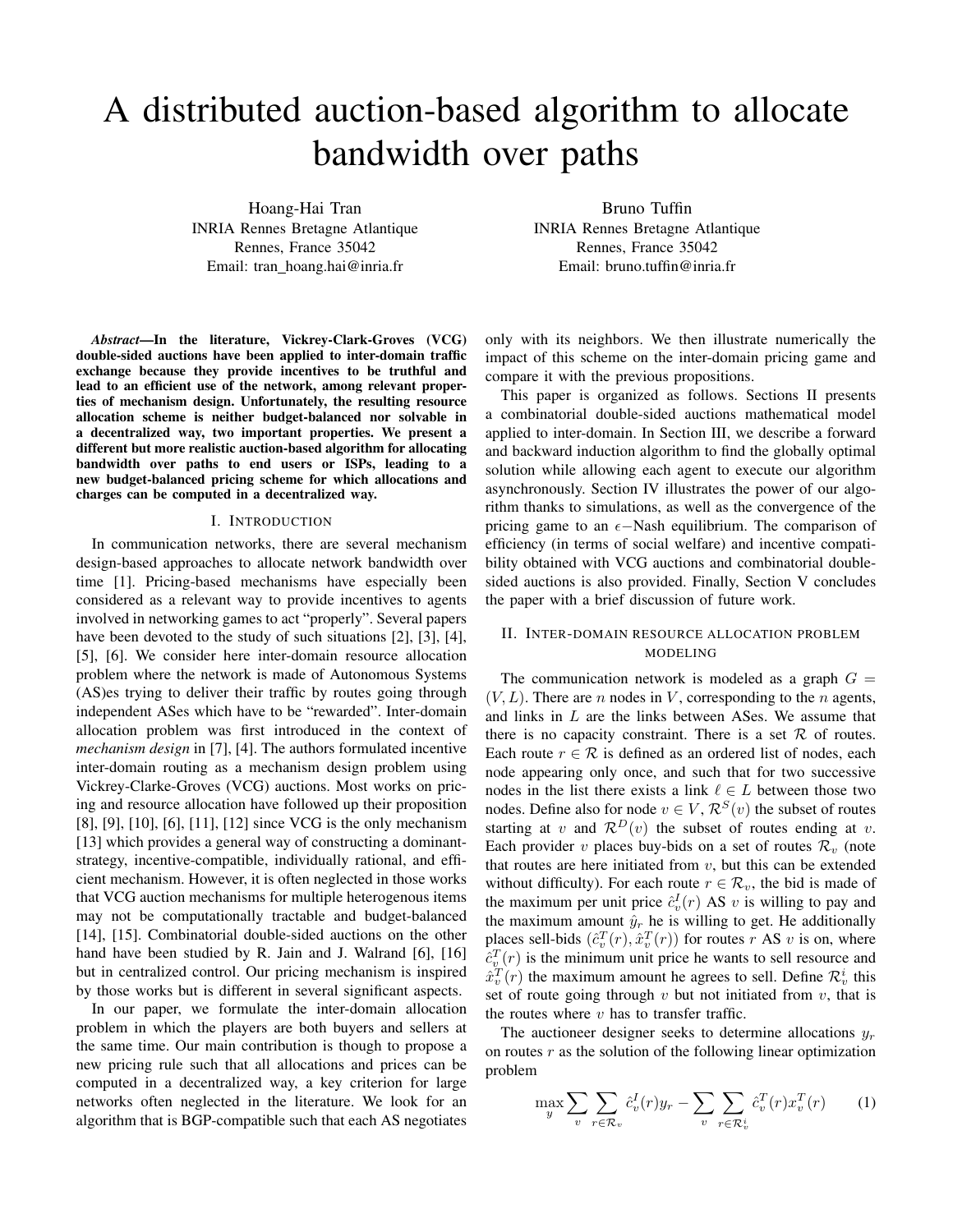# A distributed auction-based algorithm to allocate bandwidth over paths

Hoang-Hai Tran INRIA Rennes Bretagne Atlantique Rennes, France 35042 Email: tran hoang.hai@inria.fr

*Abstract*—In the literature, Vickrey-Clark-Groves (VCG) double-sided auctions have been applied to inter-domain traffic exchange because they provide incentives to be truthful and lead to an efficient use of the network, among relevant properties of mechanism design. Unfortunately, the resulting resource allocation scheme is neither budget-balanced nor solvable in a decentralized way, two important properties. We present a different but more realistic auction-based algorithm for allocating bandwidth over paths to end users or ISPs, leading to a new budget-balanced pricing scheme for which allocations and charges can be computed in a decentralized way.

#### I. INTRODUCTION

In communication networks, there are several mechanism design-based approaches to allocate network bandwidth over time [1]. Pricing-based mechanisms have especially been considered as a relevant way to provide incentives to agents involved in networking games to act "properly". Several papers have been devoted to the study of such situations [2], [3], [4], [5], [6]. We consider here inter-domain resource allocation problem where the network is made of Autonomous Systems (AS)es trying to deliver their traffic by routes going through independent ASes which have to be "rewarded". Inter-domain allocation problem was first introduced in the context of *mechanism design* in [7], [4]. The authors formulated incentive inter-domain routing as a mechanism design problem using Vickrey-Clarke-Groves (VCG) auctions. Most works on pricing and resource allocation have followed up their proposition [8], [9], [10], [6], [11], [12] since VCG is the only mechanism [13] which provides a general way of constructing a dominantstrategy, incentive-compatible, individually rational, and efficient mechanism. However, it is often neglected in those works that VCG auction mechanisms for multiple heterogenous items may not be computationally tractable and budget-balanced [14], [15]. Combinatorial double-sided auctions on the other hand have been studied by R. Jain and J. Walrand [6], [16] but in centralized control. Our pricing mechanism is inspired by those works but is different in several significant aspects.

In our paper, we formulate the inter-domain allocation problem in which the players are both buyers and sellers at the same time. Our main contribution is though to propose a new pricing rule such that all allocations and prices can be computed in a decentralized way, a key criterion for large networks often neglected in the literature. We look for an algorithm that is BGP-compatible such that each AS negotiates

Bruno Tuffin INRIA Rennes Bretagne Atlantique Rennes, France 35042 Email: bruno.tuffin@inria.fr

only with its neighbors. We then illustrate numerically the impact of this scheme on the inter-domain pricing game and compare it with the previous propositions.

This paper is organized as follows. Sections II presents a combinatorial double-sided auctions mathematical model applied to inter-domain. In Section III, we describe a forward and backward induction algorithm to find the globally optimal solution while allowing each agent to execute our algorithm asynchronously. Section IV illustrates the power of our algorithm thanks to simulations, as well as the convergence of the pricing game to an  $\epsilon$ −Nash equilibrium. The comparison of efficiency (in terms of social welfare) and incentive compatibility obtained with VCG auctions and combinatorial doublesided auctions is also provided. Finally, Section V concludes the paper with a brief discussion of future work.

#### II. INTER-DOMAIN RESOURCE ALLOCATION PROBLEM MODELING

The communication network is modeled as a graph  $G =$  $(V, L)$ . There are n nodes in V, corresponding to the n agents, and links in  $L$  are the links between ASes. We assume that there is no capacity constraint. There is a set  $R$  of routes. Each route  $r \in \mathcal{R}$  is defined as an ordered list of nodes, each node appearing only once, and such that for two successive nodes in the list there exists a link  $\ell \in L$  between those two nodes. Define also for node  $v \in V$ ,  $\mathcal{R}^{S}(v)$  the subset of routes starting at v and  $\mathcal{R}^D(v)$  the subset of routes ending at v. Each provider v places buy-bids on a set of routes  $\mathcal{R}_v$  (note that routes are here initiated from  $v$ , but this can be extended without difficulty). For each route  $r \in \mathcal{R}_v$ , the bid is made of the maximum per unit price  $\hat{c}_v^I(r)$  AS v is willing to pay and the maximum amount  $\hat{y}_r$  he is willing to get. He additionally places sell-bids  $(\hat{c}_v^T(r), \hat{x}_v^T(r))$  for routes r AS v is on, where  $\hat{c}_v^T(r)$  is the minimum unit price he wants to sell resource and  $\hat{x}_v^T(r)$  the maximum amount he agrees to sell. Define  $\mathcal{R}_v^i$  this set of route going through  $v$  but not initiated from  $v$ , that is the routes where  $v$  has to transfer traffic.

The auctioneer designer seeks to determine allocations  $y_r$ on routes  $r$  as the solution of the following linear optimization problem

$$
\max_{y} \sum_{v} \sum_{r \in \mathcal{R}_v} \hat{c}_v^I(r) y_r - \sum_{v} \sum_{r \in \mathcal{R}_v^i} \hat{c}_v^T(r) x_v^T(r) \qquad (1)
$$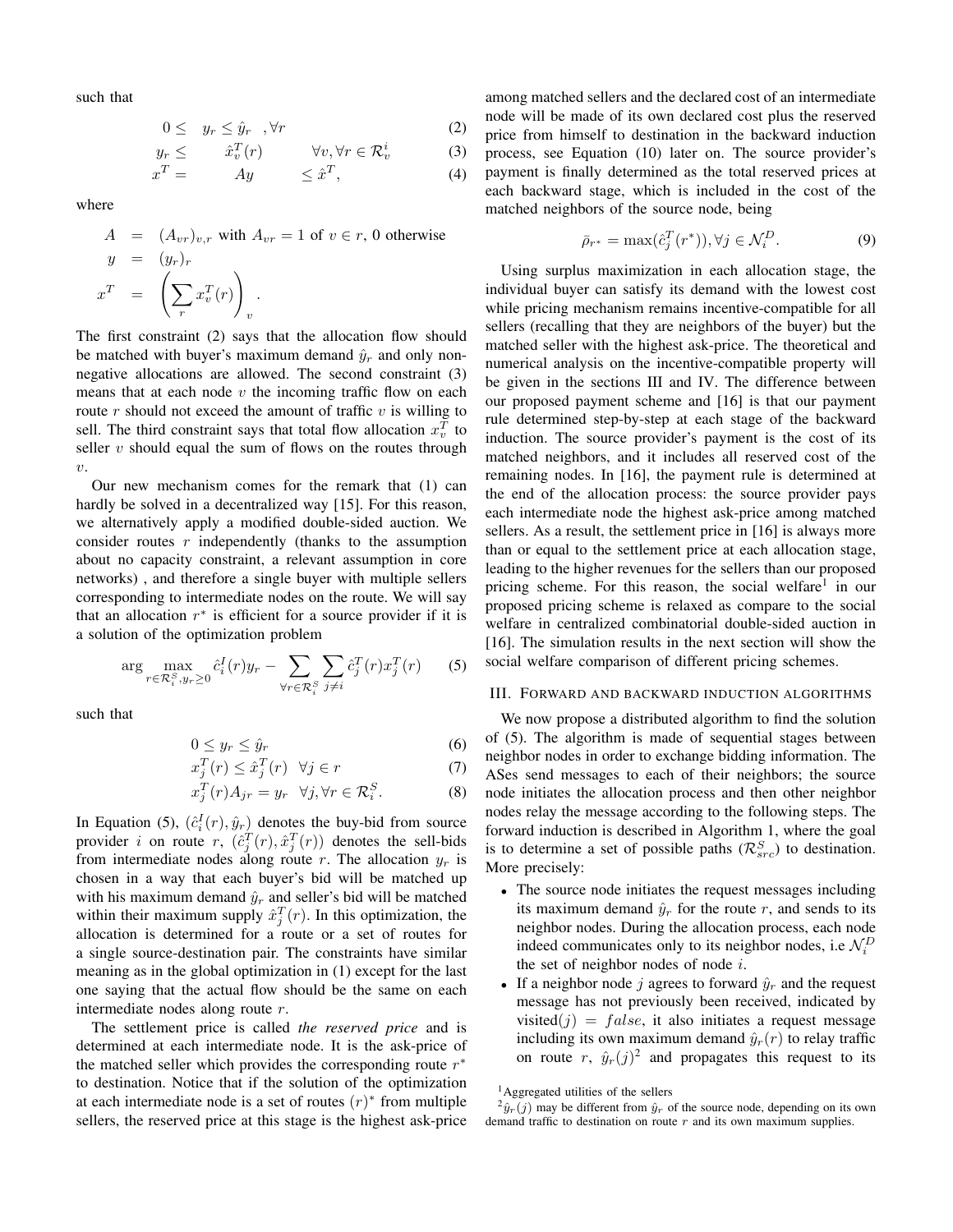such that

$$
0 \leq y_r \leq \hat{y}_r, \forall r \tag{2}
$$

$$
y_r \leq \hat{x}_v^T(r) \qquad \forall v, \forall r \in \mathcal{R}_v^i \tag{3}
$$

$$
x^T = Ay \leq \hat{x}^T, \tag{4}
$$

where

$$
A = (A_{vr})_{v,r} \text{ with } A_{vr} = 1 \text{ of } v \in r, 0 \text{ otherwise}
$$
  
\n
$$
y = (y_r)_r
$$
  
\n
$$
x^T = \left(\sum_r x_v^T(r)\right)_v.
$$

The first constraint (2) says that the allocation flow should be matched with buyer's maximum demand  $\hat{y}_r$  and only nonnegative allocations are allowed. The second constraint (3) means that at each node  $v$  the incoming traffic flow on each route  $r$  should not exceed the amount of traffic  $v$  is willing to sell. The third constraint says that total flow allocation  $x_i^T$  to seller  $v$  should equal the sum of flows on the routes through  $\upsilon$ .

Our new mechanism comes for the remark that (1) can hardly be solved in a decentralized way [15]. For this reason, we alternatively apply a modified double-sided auction. We consider routes  $r$  independently (thanks to the assumption about no capacity constraint, a relevant assumption in core networks) , and therefore a single buyer with multiple sellers corresponding to intermediate nodes on the route. We will say that an allocation  $r^*$  is efficient for a source provider if it is a solution of the optimization problem

$$
\arg\max_{r \in \mathcal{R}_i^S, y_r \ge 0} \hat{c}_i^I(r) y_r - \sum_{\forall r \in \mathcal{R}_i^S} \sum_{j \ne i} \hat{c}_j^T(r) x_j^T(r) \qquad (5)
$$

such that

$$
0 \le y_r \le \hat{y}_r \tag{6}
$$

$$
x_j^T(r) \le \hat{x}_j^T(r) \quad \forall j \in r \tag{7}
$$

$$
x_j^T(r)A_{jr} = y_r \quad \forall j, \forall r \in \mathcal{R}_i^S. \tag{8}
$$

In Equation (5),  $(\hat{c}_i^I(r), \hat{y}_r)$  denotes the buy-bid from source provider *i* on route r,  $(\hat{c}_j^T(r), \hat{x}_j^T(r))$  denotes the sell-bids from intermediate nodes along route r. The allocation  $y_r$  is chosen in a way that each buyer's bid will be matched up with his maximum demand  $\hat{y}_r$  and seller's bid will be matched within their maximum supply  $\hat{x}_j^T(r)$ . In this optimization, the allocation is determined for a route or a set of routes for a single source-destination pair. The constraints have similar meaning as in the global optimization in (1) except for the last one saying that the actual flow should be the same on each intermediate nodes along route r.

The settlement price is called *the reserved price* and is determined at each intermediate node. It is the ask-price of the matched seller which provides the corresponding route  $r^*$ to destination. Notice that if the solution of the optimization at each intermediate node is a set of routes  $(r)^*$  from multiple sellers, the reserved price at this stage is the highest ask-price

among matched sellers and the declared cost of an intermediate node will be made of its own declared cost plus the reserved price from himself to destination in the backward induction process, see Equation (10) later on. The source provider's payment is finally determined as the total reserved prices at each backward stage, which is included in the cost of the matched neighbors of the source node, being

$$
\bar{\rho}_{r^*} = \max(\hat{c}_j^T(r^*)), \forall j \in \mathcal{N}_i^D.
$$
\n(9)

Using surplus maximization in each allocation stage, the individual buyer can satisfy its demand with the lowest cost while pricing mechanism remains incentive-compatible for all sellers (recalling that they are neighbors of the buyer) but the matched seller with the highest ask-price. The theoretical and numerical analysis on the incentive-compatible property will be given in the sections III and IV. The difference between our proposed payment scheme and [16] is that our payment rule determined step-by-step at each stage of the backward induction. The source provider's payment is the cost of its matched neighbors, and it includes all reserved cost of the remaining nodes. In [16], the payment rule is determined at the end of the allocation process: the source provider pays each intermediate node the highest ask-price among matched sellers. As a result, the settlement price in [16] is always more than or equal to the settlement price at each allocation stage, leading to the higher revenues for the sellers than our proposed pricing scheme. For this reason, the social welfare<sup>1</sup> in our proposed pricing scheme is relaxed as compare to the social welfare in centralized combinatorial double-sided auction in [16]. The simulation results in the next section will show the social welfare comparison of different pricing schemes.

#### III. FORWARD AND BACKWARD INDUCTION ALGORITHMS

We now propose a distributed algorithm to find the solution of (5). The algorithm is made of sequential stages between neighbor nodes in order to exchange bidding information. The ASes send messages to each of their neighbors; the source node initiates the allocation process and then other neighbor nodes relay the message according to the following steps. The forward induction is described in Algorithm 1, where the goal is to determine a set of possible paths  $(\mathcal{R}_{src}^S)$  to destination. More precisely:

- The source node initiates the request messages including its maximum demand  $\hat{y}_r$  for the route r, and sends to its neighbor nodes. During the allocation process, each node indeed communicates only to its neighbor nodes, i.e  $\mathcal{N}_i^D$ the set of neighbor nodes of node  $i$ .
- If a neighbor node j agrees to forward  $\hat{y}_r$  and the request message has not previously been received, indicated by visited(*j*) = *false*, it also initiates a request message including its own maximum demand  $\hat{y}_r(r)$  to relay traffic on route r,  $\hat{y}_r(j)^2$  and propagates this request to its

<sup>&</sup>lt;sup>1</sup>Aggregated utilities of the sellers

 $^{2}\hat{y}_{r}(j)$  may be different from  $\hat{y}_{r}$  of the source node, depending on its own demand traffic to destination on route  $r$  and its own maximum supplies.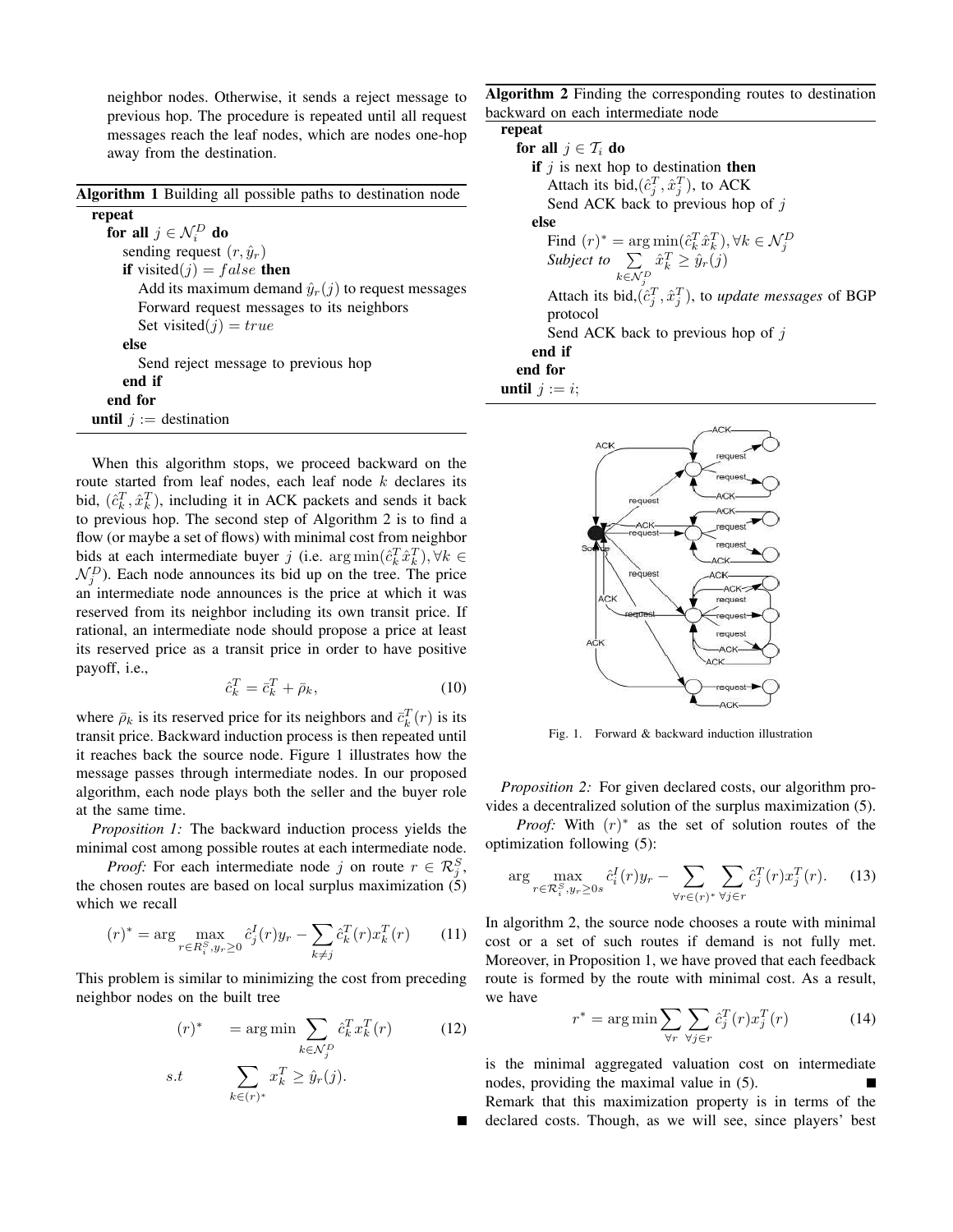neighbor nodes. Otherwise, it sends a reject message to previous hop. The procedure is repeated until all request messages reach the leaf nodes, which are nodes one-hop away from the destination.

| Algorithm 1 Building all possible paths to destination node |
|-------------------------------------------------------------|
| repeat                                                      |
| for all $j \in \mathcal{N}_i^D$ do                          |
| sending request $(r, \hat{y}_r)$                            |
| <b>if</b> visited( <i>j</i> ) = <i>false</i> <b>then</b>    |
| Add its maximum demand $\hat{y}_r(j)$ to request messages   |
| Forward request messages to its neighbors                   |
| Set visited $(j) = true$                                    |
| else                                                        |
| Send reject message to previous hop                         |
| end if                                                      |
| end for                                                     |
| <b>until</b> $j :=$ destination                             |

When this algorithm stops, we proceed backward on the route started from leaf nodes, each leaf node  $k$  declares its bid,  $(\hat{c}_k^T, \hat{x}_k^T)$ , including it in ACK packets and sends it back to previous hop. The second step of Algorithm 2 is to find a flow (or maybe a set of flows) with minimal cost from neighbor bids at each intermediate buyer j (i.e.  $\arg \min(\hat{c}_k^T \hat{x}_k^T), \forall k \in$  $\mathcal{N}_j^D$ ). Each node announces its bid up on the tree. The price an intermediate node announces is the price at which it was reserved from its neighbor including its own transit price. If rational, an intermediate node should propose a price at least its reserved price as a transit price in order to have positive payoff, i.e.,

$$
\hat{c}_k^T = \bar{c}_k^T + \bar{\rho}_k,\tag{10}
$$

where  $\bar{\rho}_k$  is its reserved price for its neighbors and  $\bar{c}_k^T(r)$  is its transit price. Backward induction process is then repeated until it reaches back the source node. Figure 1 illustrates how the message passes through intermediate nodes. In our proposed algorithm, each node plays both the seller and the buyer role at the same time.

*Proposition 1:* The backward induction process yields the minimal cost among possible routes at each intermediate node.

*Proof:* For each intermediate node j on route  $r \in \mathcal{R}_j^S$ , the chosen routes are based on local surplus maximization  $(5)$ which we recall

$$
(r)^* = \arg \max_{r \in R_i^S, y_r \ge 0} \hat{c}_j^I(r) y_r - \sum_{k \ne j} \hat{c}_k^T(r) x_k^T(r) \qquad (11)
$$

This problem is similar to minimizing the cost from preceding neighbor nodes on the built tree

$$
(r)^* = \arg\min_{k \in \mathcal{N}_j^D} \hat{c}_k^T x_k^T(r) \qquad (12)
$$
  
s.t 
$$
\sum_{k \in (r)^*} x_k^T \ge \hat{y}_r(j).
$$

Algorithm 2 Finding the corresponding routes to destination backward on each intermediate node

repeat for all  $j \in \mathcal{T}_i$  do if  $j$  is next hop to destination then Attach its bid,  $(\hat{c}_j^T, \hat{x}_j^T)$ , to ACK Send ACK back to previous hop of  $j$ else Find  $(r)^* = \arg \min(\hat{c}_k^T \hat{x}_k^T), \forall k \in \mathcal{N}_j^D$ <br>Subject to  $\sum \hat{x}_k^T \geq \hat{y}_r(j)$  $k \in \mathcal{N}_j^D$  $\hat{x}_k^T \geq \hat{y}_r(j)$ Attach its bid, $(\hat{c}_j^T, \hat{x}_j^T)$ , to *update messages* of BGP protocol Send ACK back to previous hop of  $j$ end if end for until  $j := i$ ;



Fig. 1. Forward & backward induction illustration

*Proposition 2:* For given declared costs, our algorithm provides a decentralized solution of the surplus maximization (5).

*Proof:* With  $(r)^*$  as the set of solution routes of the optimization following (5):

$$
\arg\max_{r \in \mathcal{R}_i^S, y_r \ge 0s} \hat{c}_i^I(r)y_r - \sum_{\forall r \in (r)^*} \sum_{\forall j \in r} \hat{c}_j^T(r)x_j^T(r). \tag{13}
$$

In algorithm 2, the source node chooses a route with minimal cost or a set of such routes if demand is not fully met. Moreover, in Proposition 1, we have proved that each feedback route is formed by the route with minimal cost. As a result, we have

$$
r^* = \arg\min \sum_{\forall r} \sum_{\forall j \in r} \hat{c}_j^T(r) x_j^T(r) \tag{14}
$$

is the minimal aggregated valuation cost on intermediate nodes, providing the maximal value in (5).

Remark that this maximization property is in terms of the declared costs. Though, as we will see, since players' best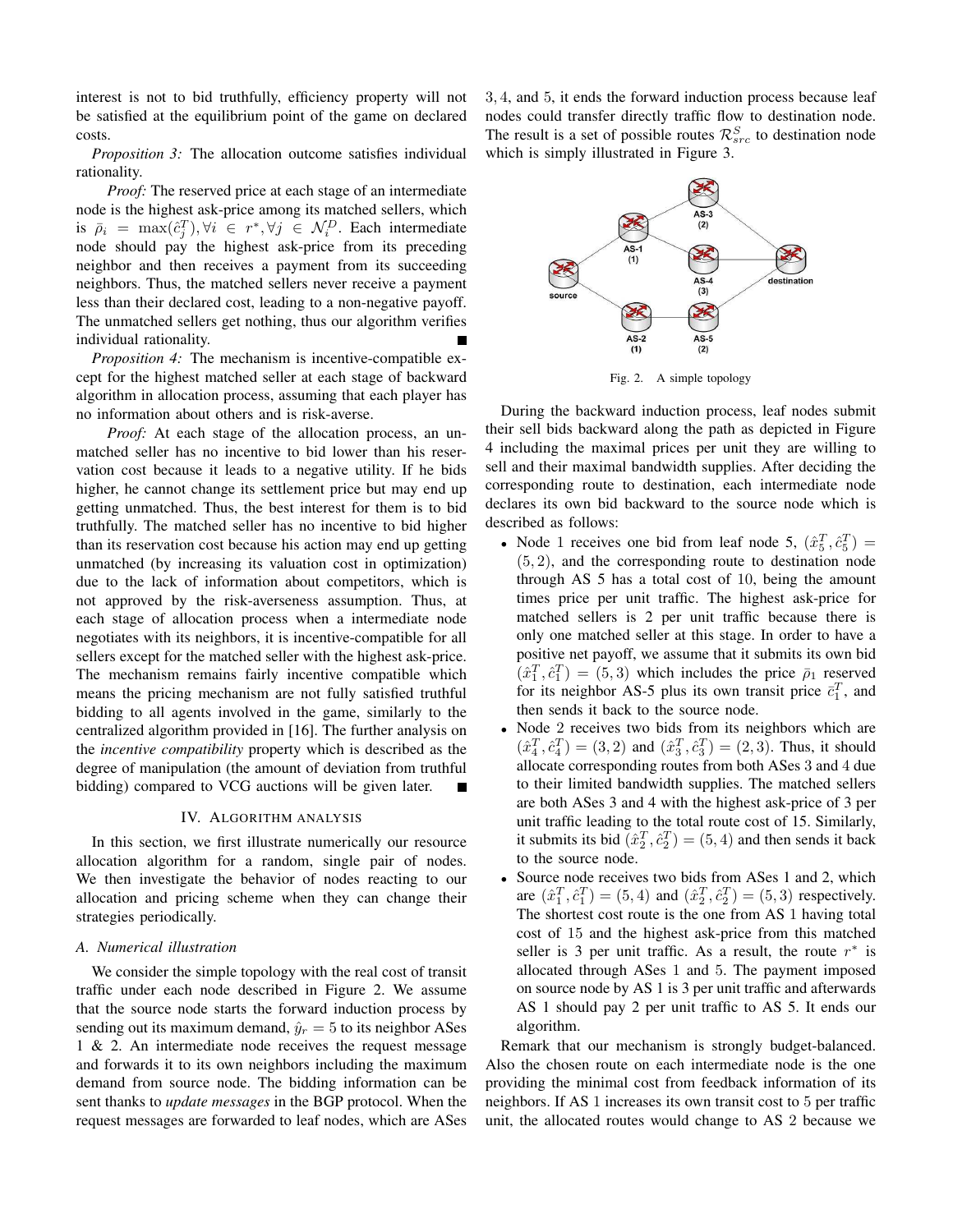interest is not to bid truthfully, efficiency property will not be satisfied at the equilibrium point of the game on declared costs.

*Proposition 3:* The allocation outcome satisfies individual rationality.

*Proof:* The reserved price at each stage of an intermediate node is the highest ask-price among its matched sellers, which is  $\bar{\rho}_i = \max(\hat{c}_j^T), \forall i \in \mathcal{F}^*, \forall j \in \mathcal{N}_i^D$ . Each intermediate node should pay the highest ask-price from its preceding neighbor and then receives a payment from its succeeding neighbors. Thus, the matched sellers never receive a payment less than their declared cost, leading to a non-negative payoff. The unmatched sellers get nothing, thus our algorithm verifies individual rationality.

*Proposition 4:* The mechanism is incentive-compatible except for the highest matched seller at each stage of backward algorithm in allocation process, assuming that each player has no information about others and is risk-averse.

*Proof:* At each stage of the allocation process, an unmatched seller has no incentive to bid lower than his reservation cost because it leads to a negative utility. If he bids higher, he cannot change its settlement price but may end up getting unmatched. Thus, the best interest for them is to bid truthfully. The matched seller has no incentive to bid higher than its reservation cost because his action may end up getting unmatched (by increasing its valuation cost in optimization) due to the lack of information about competitors, which is not approved by the risk-averseness assumption. Thus, at each stage of allocation process when a intermediate node negotiates with its neighbors, it is incentive-compatible for all sellers except for the matched seller with the highest ask-price. The mechanism remains fairly incentive compatible which means the pricing mechanism are not fully satisfied truthful bidding to all agents involved in the game, similarly to the centralized algorithm provided in [16]. The further analysis on the *incentive compatibility* property which is described as the degree of manipulation (the amount of deviation from truthful bidding) compared to VCG auctions will be given later. Е

#### IV. ALGORITHM ANALYSIS

In this section, we first illustrate numerically our resource allocation algorithm for a random, single pair of nodes. We then investigate the behavior of nodes reacting to our allocation and pricing scheme when they can change their strategies periodically.

#### *A. Numerical illustration*

We consider the simple topology with the real cost of transit traffic under each node described in Figure 2. We assume that the source node starts the forward induction process by sending out its maximum demand,  $\hat{y}_r = 5$  to its neighbor ASes 1 & 2. An intermediate node receives the request message and forwards it to its own neighbors including the maximum demand from source node. The bidding information can be sent thanks to *update messages* in the BGP protocol. When the request messages are forwarded to leaf nodes, which are ASes 3, 4, and 5, it ends the forward induction process because leaf nodes could transfer directly traffic flow to destination node. The result is a set of possible routes  $\mathcal{R}_{src}^S$  to destination node which is simply illustrated in Figure 3.



Fig. 2. A simple topology

During the backward induction process, leaf nodes submit their sell bids backward along the path as depicted in Figure 4 including the maximal prices per unit they are willing to sell and their maximal bandwidth supplies. After deciding the corresponding route to destination, each intermediate node declares its own bid backward to the source node which is described as follows:

- Node 1 receives one bid from leaf node 5,  $(\hat{x}_5^T, \hat{c}_5^T)$  = (5, 2), and the corresponding route to destination node through AS 5 has a total cost of 10, being the amount times price per unit traffic. The highest ask-price for matched sellers is 2 per unit traffic because there is only one matched seller at this stage. In order to have a positive net payoff, we assume that it submits its own bid  $(\hat{x}_1^T, \hat{c}_1^T) = (5, 3)$  which includes the price  $\bar{p}_1$  reserved for its neighbor AS-5 plus its own transit price  $\bar{c}_1^T$ , and then sends it back to the source node.
- Node 2 receives two bids from its neighbors which are  $(\hat{x}_4^T, \hat{c}_4^T) = (3, 2)$  and  $(\hat{x}_3^T, \hat{c}_3^T) = (2, 3)$ . Thus, it should allocate corresponding routes from both ASes 3 and 4 due to their limited bandwidth supplies. The matched sellers are both ASes 3 and 4 with the highest ask-price of 3 per unit traffic leading to the total route cost of 15. Similarly, it submits its bid  $(\hat{x}_2^T, \hat{c}_2^T) = (5, 4)$  and then sends it back to the source node.
- Source node receives two bids from ASes 1 and 2, which are  $(\hat{x}_1^T, \hat{c}_1^T) = (5, 4)$  and  $(\hat{x}_2^T, \hat{c}_2^T) = (5, 3)$  respectively. The shortest cost route is the one from AS 1 having total cost of 15 and the highest ask-price from this matched seller is 3 per unit traffic. As a result, the route  $r^*$  is allocated through ASes 1 and 5. The payment imposed on source node by AS 1 is 3 per unit traffic and afterwards AS 1 should pay 2 per unit traffic to AS 5. It ends our algorithm.

Remark that our mechanism is strongly budget-balanced. Also the chosen route on each intermediate node is the one providing the minimal cost from feedback information of its neighbors. If AS 1 increases its own transit cost to 5 per traffic unit, the allocated routes would change to AS 2 because we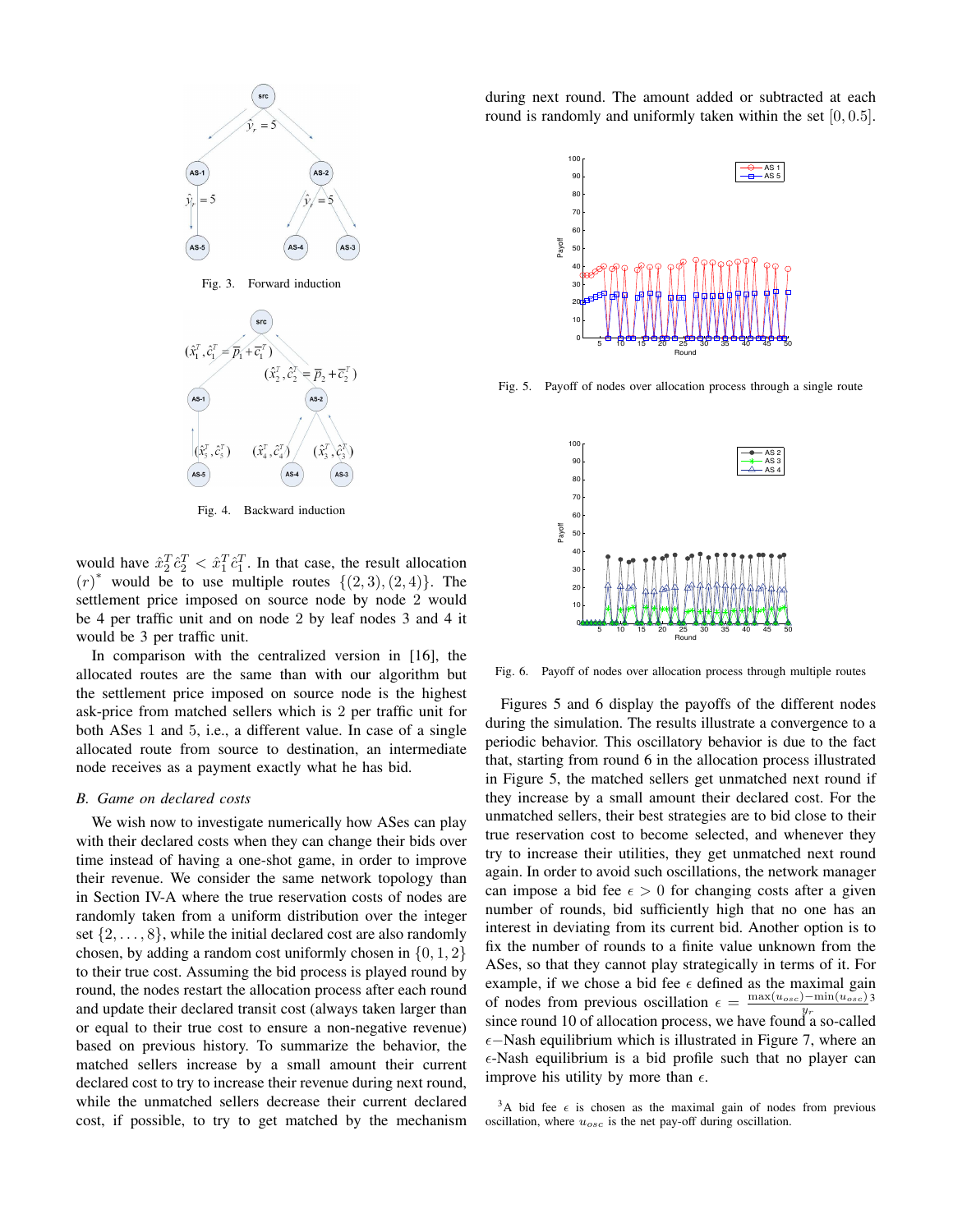

Fig. 4. Backward induction

would have  $\hat{x}_2^T \hat{c}_2^T < \hat{x}_1^T \hat{c}_1^T$ . In that case, the result allocation  $(r)^*$  would be to use multiple routes  $\{(2,3),(2,4)\}$ . The settlement price imposed on source node by node 2 would be 4 per traffic unit and on node 2 by leaf nodes 3 and 4 it would be 3 per traffic unit.

In comparison with the centralized version in [16], the allocated routes are the same than with our algorithm but the settlement price imposed on source node is the highest ask-price from matched sellers which is 2 per traffic unit for both ASes 1 and 5, i.e., a different value. In case of a single allocated route from source to destination, an intermediate node receives as a payment exactly what he has bid.

#### *B. Game on declared costs*

We wish now to investigate numerically how ASes can play with their declared costs when they can change their bids over time instead of having a one-shot game, in order to improve their revenue. We consider the same network topology than in Section IV-A where the true reservation costs of nodes are randomly taken from a uniform distribution over the integer set  $\{2, \ldots, 8\}$ , while the initial declared cost are also randomly chosen, by adding a random cost uniformly chosen in  $\{0, 1, 2\}$ to their true cost. Assuming the bid process is played round by round, the nodes restart the allocation process after each round and update their declared transit cost (always taken larger than or equal to their true cost to ensure a non-negative revenue) based on previous history. To summarize the behavior, the matched sellers increase by a small amount their current declared cost to try to increase their revenue during next round, while the unmatched sellers decrease their current declared cost, if possible, to try to get matched by the mechanism

during next round. The amount added or subtracted at each round is randomly and uniformly taken within the set  $[0, 0.5]$ .



Fig. 5. Payoff of nodes over allocation process through a single route



Fig. 6. Payoff of nodes over allocation process through multiple routes

Figures 5 and 6 display the payoffs of the different nodes during the simulation. The results illustrate a convergence to a periodic behavior. This oscillatory behavior is due to the fact that, starting from round 6 in the allocation process illustrated in Figure 5, the matched sellers get unmatched next round if they increase by a small amount their declared cost. For the unmatched sellers, their best strategies are to bid close to their true reservation cost to become selected, and whenever they try to increase their utilities, they get unmatched next round again. In order to avoid such oscillations, the network manager can impose a bid fee  $\epsilon > 0$  for changing costs after a given number of rounds, bid sufficiently high that no one has an interest in deviating from its current bid. Another option is to fix the number of rounds to a finite value unknown from the ASes, so that they cannot play strategically in terms of it. For example, if we chose a bid fee  $\epsilon$  defined as the maximal gain of nodes from previous oscillation  $\epsilon = \frac{\max(u_{osc}) - \min(u_{osc})}{u}$  $\frac{y_r}{y_r}$ since round 10 of allocation process, we have found a so-called  $\epsilon$ −Nash equilibrium which is illustrated in Figure 7, where an  $\epsilon$ -Nash equilibrium is a bid profile such that no player can improve his utility by more than  $\epsilon$ .

 $3A$  bid fee  $\epsilon$  is chosen as the maximal gain of nodes from previous oscillation, where  $u_{osc}$  is the net pay-off during oscillation.